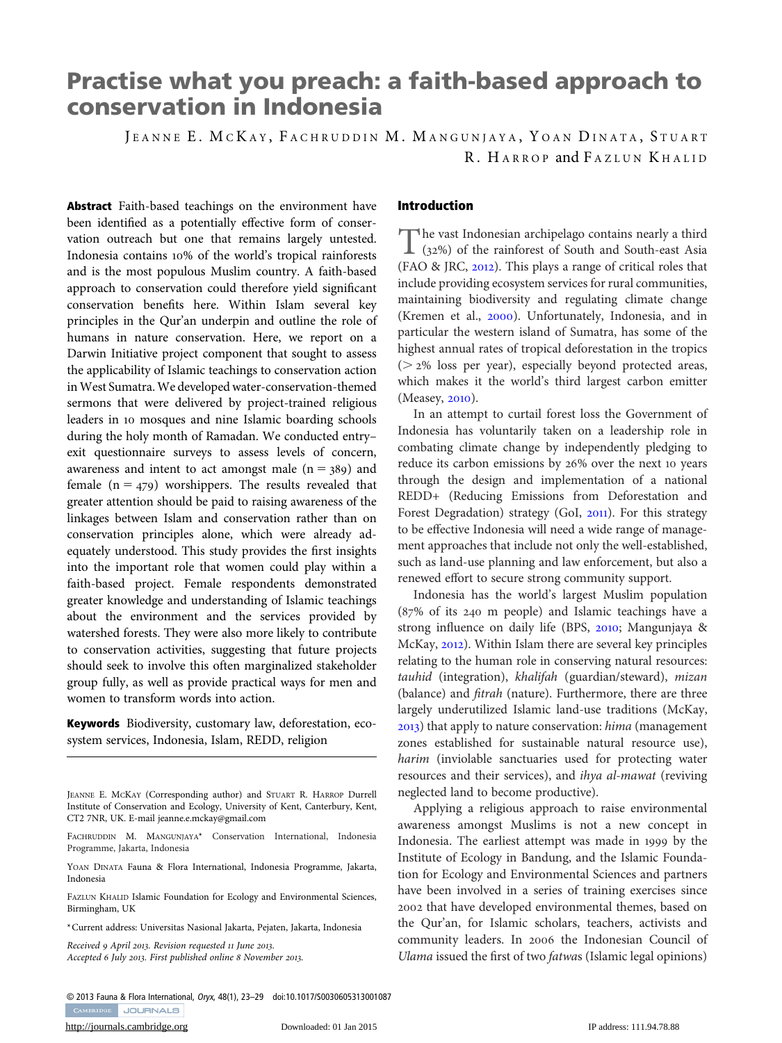# Practise what you preach: a faith-based approach to conservation in Indonesia

JEANNE E. MCKAY, FACHRUDDIN M. MANGUNJAYA, YOAN DINATA, STUART R. HARROP and FAZLUN KHALID

Abstract Faith-based teachings on the environment have been identified as a potentially effective form of conservation outreach but one that remains largely untested. Indonesia contains 10% of the world's tropical rainforests and is the most populous Muslim country. A faith-based approach to conservation could therefore yield significant conservation benefits here. Within Islam several key principles in the Qur'an underpin and outline the role of humans in nature conservation. Here, we report on a Darwin Initiative project component that sought to assess the applicability of Islamic teachings to conservation action in West Sumatra.We developed water-conservation-themed sermons that were delivered by project-trained religious leaders in 10 mosques and nine Islamic boarding schools during the holy month of Ramadan. We conducted entry– exit questionnaire surveys to assess levels of concern, awareness and intent to act amongst male  $(n = 389)$  and female  $(n = 479)$  worshippers. The results revealed that greater attention should be paid to raising awareness of the linkages between Islam and conservation rather than on conservation principles alone, which were already adequately understood. This study provides the first insights into the important role that women could play within a faith-based project. Female respondents demonstrated greater knowledge and understanding of Islamic teachings about the environment and the services provided by watershed forests. They were also more likely to contribute to conservation activities, suggesting that future projects should seek to involve this often marginalized stakeholder group fully, as well as provide practical ways for men and women to transform words into action.

Keywords Biodiversity, customary law, deforestation, ecosystem services, Indonesia, Islam, REDD, religion

YOAN DINATA Fauna & Flora International, Indonesia Programme, Jakarta, Indonesia

FAZLUN KHALID Islamic Foundation for Ecology and Environmental Sciences, Birmingham, UK

\*Current address: Universitas Nasional Jakarta, Pejaten, Jakarta, Indonesia

Received 9 April 2013. Revision requested 11 June 2013. Accepted 6 July 2013. First published online 8 November 2013.

## Introduction

The vast Indonesian archipelago contains nearly a third<br>  $(32\%)$  of the rainforest of South and South-east Asia<br>  $(51.8 \times 10^{-10})$ (FAO & JRC, [2012](#page-5-0)). This plays a range of critical roles that include providing ecosystem services for rural communities, maintaining biodiversity and regulating climate change (Kremen et al., [2000](#page-5-0)). Unfortunately, Indonesia, and in particular the western island of Sumatra, has some of the highest annual rates of tropical deforestation in the tropics  $(22\%$  loss per year), especially beyond protected areas, which makes it the world's third largest carbon emitter (Measey, [2010](#page-5-0)).

In an attempt to curtail forest loss the Government of Indonesia has voluntarily taken on a leadership role in combating climate change by independently pledging to reduce its carbon emissions by 26% over the next 10 years through the design and implementation of a national REDD+ (Reducing Emissions from Deforestation and Forest Degradation) strategy (GoI, [2011](#page-5-0)). For this strategy to be effective Indonesia will need a wide range of management approaches that include not only the well-established, such as land-use planning and law enforcement, but also a renewed effort to secure strong community support.

Indonesia has the world's largest Muslim population (87% of its 240 m people) and Islamic teachings have a strong influence on daily life (BPS, [2010](#page-5-0); Mangunjaya & McKay, [2012](#page-5-0)). Within Islam there are several key principles relating to the human role in conserving natural resources: tauhid (integration), khalifah (guardian/steward), mizan (balance) and *fitrah* (nature). Furthermore, there are three largely underutilized Islamic land-use traditions (McKay, [2013](#page-5-0)) that apply to nature conservation: *hima* (management zones established for sustainable natural resource use), harim (inviolable sanctuaries used for protecting water resources and their services), and ihya al-mawat (reviving neglected land to become productive).

Applying a religious approach to raise environmental awareness amongst Muslims is not a new concept in Indonesia. The earliest attempt was made in 1999 by the Institute of Ecology in Bandung, and the Islamic Foundation for Ecology and Environmental Sciences and partners have been involved in a series of training exercises since 2002 that have developed environmental themes, based on the Qur'an, for Islamic scholars, teachers, activists and community leaders. In 2006 the Indonesian Council of Ulama issued the first of two fatwas (Islamic legal opinions)

© 2013 Fauna & Flora International, Oryx, 48(1), 23–29 doi:10.1017/S0030605313001087CAMBRIDGE JOURNALS

<http://journals.cambridge.org> Downloaded: 01 Jan 2015 IP address: 111.94.78.88

JEANNE E. MCKAY (Corresponding author) and STUART R. HARROP Durrell Institute of Conservation and Ecology, University of Kent, Canterbury, Kent, CT2 7NR, UK. E-mail jeanne.e.mckay@gmail.com

FACHRUDDIN M. MANGUNJAYA\* Conservation International, Indonesia Programme, Jakarta, Indonesia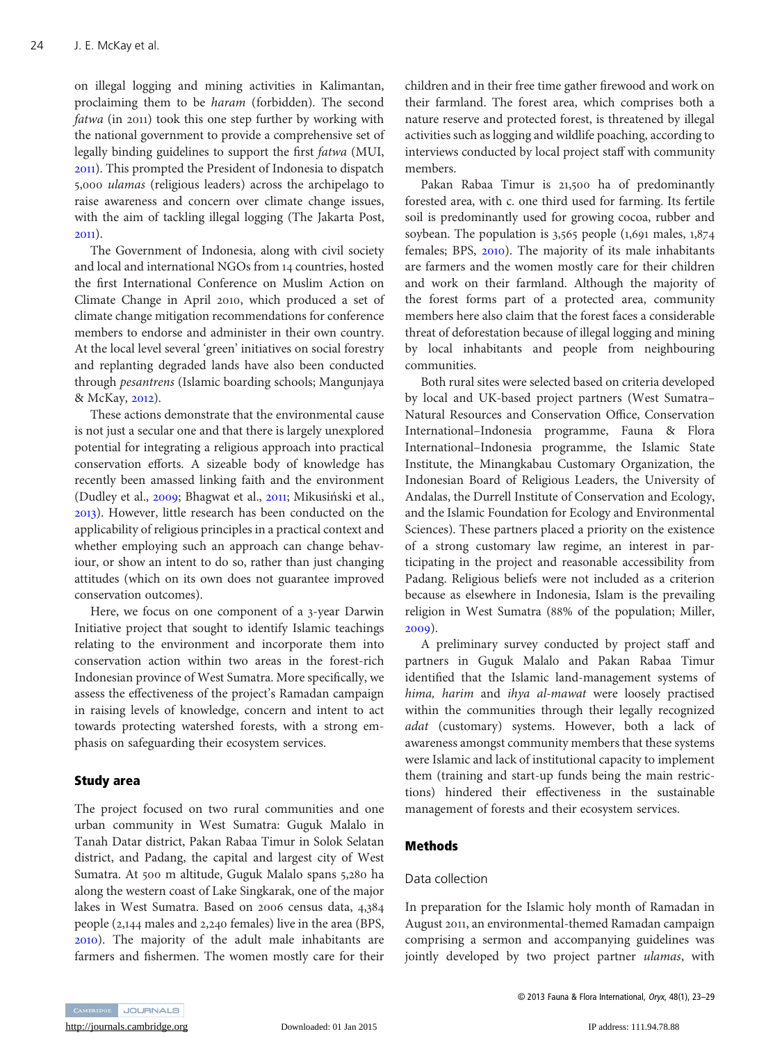on illegal logging and mining activities in Kalimantan, proclaiming them to be haram (forbidden). The second fatwa (in 2011) took this one step further by working with the national government to provide a comprehensive set of legally binding guidelines to support the first fatwa (MUI, [2011](#page-5-0)). This prompted the President of Indonesia to dispatch 5,000 ulamas (religious leaders) across the archipelago to raise awareness and concern over climate change issues, with the aim of tackling illegal logging (The Jakarta Post, [2011](#page-5-0)).

The Government of Indonesia, along with civil society and local and international NGOs from 14 countries, hosted the first International Conference on Muslim Action on Climate Change in April 2010, which produced a set of climate change mitigation recommendations for conference members to endorse and administer in their own country. At the local level several 'green' initiatives on social forestry and replanting degraded lands have also been conducted through pesantrens (Islamic boarding schools; Mangunjaya & McKay, [2012](#page-5-0)).

These actions demonstrate that the environmental cause is not just a secular one and that there is largely unexplored potential for integrating a religious approach into practical conservation efforts. A sizeable body of knowledge has recently been amassed linking faith and the environment (Dudley et al., [2009](#page-5-0); Bhagwat et al., [2011](#page-5-0); Mikusiński et al., [2013](#page-5-0)). However, little research has been conducted on the applicability of religious principles in a practical context and whether employing such an approach can change behaviour, or show an intent to do so, rather than just changing attitudes (which on its own does not guarantee improved conservation outcomes).

Here, we focus on one component of a 3-year Darwin Initiative project that sought to identify Islamic teachings relating to the environment and incorporate them into conservation action within two areas in the forest-rich Indonesian province of West Sumatra. More specifically, we assess the effectiveness of the project's Ramadan campaign in raising levels of knowledge, concern and intent to act towards protecting watershed forests, with a strong emphasis on safeguarding their ecosystem services.

#### Study area

The project focused on two rural communities and one urban community in West Sumatra: Guguk Malalo in Tanah Datar district, Pakan Rabaa Timur in Solok Selatan district, and Padang, the capital and largest city of West Sumatra. At 500 m altitude, Guguk Malalo spans 5,280 ha along the western coast of Lake Singkarak, one of the major lakes in West Sumatra. Based on 2006 census data, 4,384 people (2,144 males and 2,240 females) live in the area (BPS, [2010](#page-5-0)). The majority of the adult male inhabitants are farmers and fishermen. The women mostly care for their children and in their free time gather firewood and work on their farmland. The forest area, which comprises both a nature reserve and protected forest, is threatened by illegal activities such as logging and wildlife poaching, according to interviews conducted by local project staff with community members.

Pakan Rabaa Timur is 21,500 ha of predominantly forested area, with c. one third used for farming. Its fertile soil is predominantly used for growing cocoa, rubber and soybean. The population is 3,565 people (1,691 males, 1,874 females; BPS, [2010](#page-5-0)). The majority of its male inhabitants are farmers and the women mostly care for their children and work on their farmland. Although the majority of the forest forms part of a protected area, community members here also claim that the forest faces a considerable threat of deforestation because of illegal logging and mining by local inhabitants and people from neighbouring communities.

Both rural sites were selected based on criteria developed by local and UK-based project partners (West Sumatra– Natural Resources and Conservation Office, Conservation International–Indonesia programme, Fauna & Flora International–Indonesia programme, the Islamic State Institute, the Minangkabau Customary Organization, the Indonesian Board of Religious Leaders, the University of Andalas, the Durrell Institute of Conservation and Ecology, and the Islamic Foundation for Ecology and Environmental Sciences). These partners placed a priority on the existence of a strong customary law regime, an interest in participating in the project and reasonable accessibility from Padang. Religious beliefs were not included as a criterion because as elsewhere in Indonesia, Islam is the prevailing religion in West Sumatra (88% of the population; Miller, [2009](#page-5-0)).

A preliminary survey conducted by project staff and partners in Guguk Malalo and Pakan Rabaa Timur identified that the Islamic land-management systems of hima, harim and ihya al-mawat were loosely practised within the communities through their legally recognized adat (customary) systems. However, both a lack of awareness amongst community members that these systems were Islamic and lack of institutional capacity to implement them (training and start-up funds being the main restrictions) hindered their effectiveness in the sustainable management of forests and their ecosystem services.

### Methods

#### Data collection

In preparation for the Islamic holy month of Ramadan in August 2011, an environmental-themed Ramadan campaign comprising a sermon and accompanying guidelines was jointly developed by two project partner ulamas, with

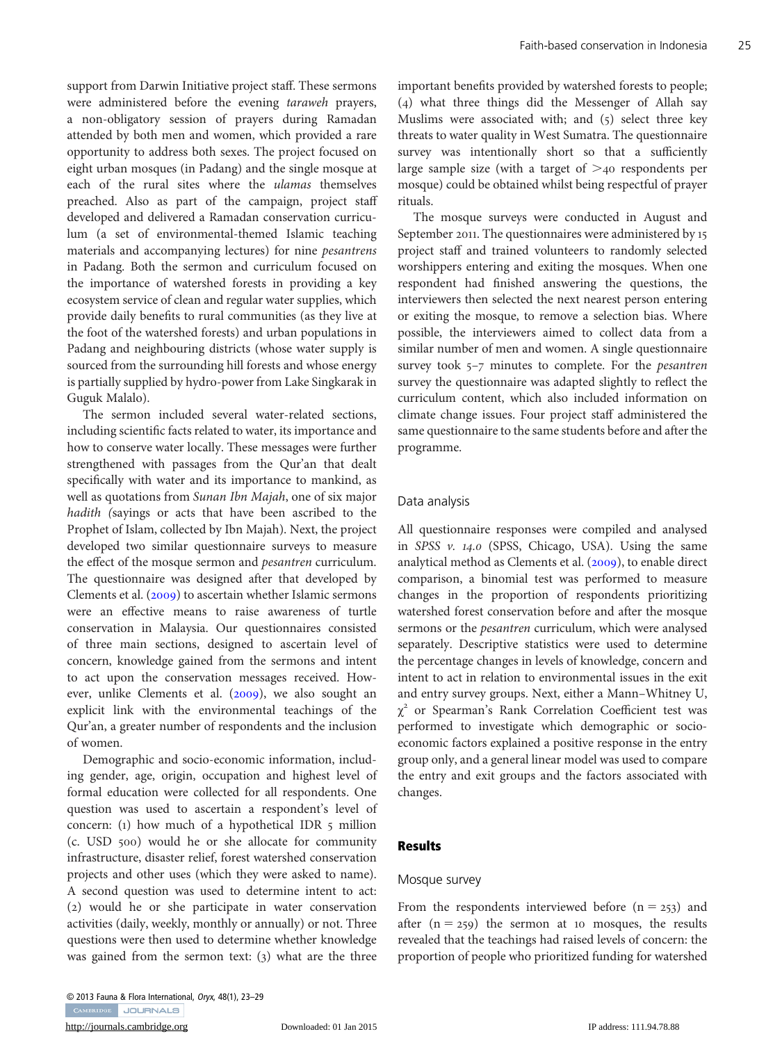support from Darwin Initiative project staff. These sermons were administered before the evening taraweh prayers, a non-obligatory session of prayers during Ramadan attended by both men and women, which provided a rare opportunity to address both sexes. The project focused on eight urban mosques (in Padang) and the single mosque at each of the rural sites where the ulamas themselves preached. Also as part of the campaign, project staff developed and delivered a Ramadan conservation curriculum (a set of environmental-themed Islamic teaching materials and accompanying lectures) for nine pesantrens in Padang. Both the sermon and curriculum focused on the importance of watershed forests in providing a key ecosystem service of clean and regular water supplies, which provide daily benefits to rural communities (as they live at the foot of the watershed forests) and urban populations in Padang and neighbouring districts (whose water supply is sourced from the surrounding hill forests and whose energy is partially supplied by hydro-power from Lake Singkarak in Guguk Malalo).

The sermon included several water-related sections, including scientific facts related to water, its importance and how to conserve water locally. These messages were further strengthened with passages from the Qur'an that dealt specifically with water and its importance to mankind, as well as quotations from Sunan Ibn Majah, one of six major hadith (sayings or acts that have been ascribed to the Prophet of Islam, collected by Ibn Majah). Next, the project developed two similar questionnaire surveys to measure the effect of the mosque sermon and *pesantren* curriculum. The questionnaire was designed after that developed by Clements et al. ([2009](#page-5-0)) to ascertain whether Islamic sermons were an effective means to raise awareness of turtle conservation in Malaysia. Our questionnaires consisted of three main sections, designed to ascertain level of concern, knowledge gained from the sermons and intent to act upon the conservation messages received. However, unlike Clements et al. ([2009](#page-5-0)), we also sought an explicit link with the environmental teachings of the Qur'an, a greater number of respondents and the inclusion of women.

Demographic and socio-economic information, including gender, age, origin, occupation and highest level of formal education were collected for all respondents. One question was used to ascertain a respondent's level of concern: (1) how much of a hypothetical IDR 5 million (c. USD 500) would he or she allocate for community infrastructure, disaster relief, forest watershed conservation projects and other uses (which they were asked to name). A second question was used to determine intent to act: (2) would he or she participate in water conservation activities (daily, weekly, monthly or annually) or not. Three questions were then used to determine whether knowledge was gained from the sermon text: (3) what are the three

© 2013 Fauna & Flora International, Oryx, 48(1), 23–29CAMBRIDGE JOURNALS

<http://journals.cambridge.org> Downloaded: 01 Jan 2015 IP address: 111.94.78.88

important benefits provided by watershed forests to people; (4) what three things did the Messenger of Allah say Muslims were associated with; and (5) select three key threats to water quality in West Sumatra. The questionnaire survey was intentionally short so that a sufficiently large sample size (with a target of  $\geq$ 40 respondents per mosque) could be obtained whilst being respectful of prayer rituals.

The mosque surveys were conducted in August and September 2011. The questionnaires were administered by 15 project staff and trained volunteers to randomly selected worshippers entering and exiting the mosques. When one respondent had finished answering the questions, the interviewers then selected the next nearest person entering or exiting the mosque, to remove a selection bias. Where possible, the interviewers aimed to collect data from a similar number of men and women. A single questionnaire survey took 5–7 minutes to complete. For the *pesantren* survey the questionnaire was adapted slightly to reflect the curriculum content, which also included information on climate change issues. Four project staff administered the same questionnaire to the same students before and after the programme.

#### Data analysis

All questionnaire responses were compiled and analysed in SPSS v. 14.0 (SPSS, Chicago, USA). Using the same analytical method as Clements et al. ([2009](#page-5-0)), to enable direct comparison, a binomial test was performed to measure changes in the proportion of respondents prioritizing watershed forest conservation before and after the mosque sermons or the *pesantren* curriculum, which were analysed separately. Descriptive statistics were used to determine the percentage changes in levels of knowledge, concern and intent to act in relation to environmental issues in the exit and entry survey groups. Next, either a Mann–Whitney U, χ <sup>2</sup> or Spearman's Rank Correlation Coefficient test was performed to investigate which demographic or socioeconomic factors explained a positive response in the entry group only, and a general linear model was used to compare the entry and exit groups and the factors associated with changes.

#### Results

#### Mosque survey

From the respondents interviewed before  $(n = 253)$  and after  $(n = 259)$  the sermon at 10 mosques, the results revealed that the teachings had raised levels of concern: the proportion of people who prioritized funding for watershed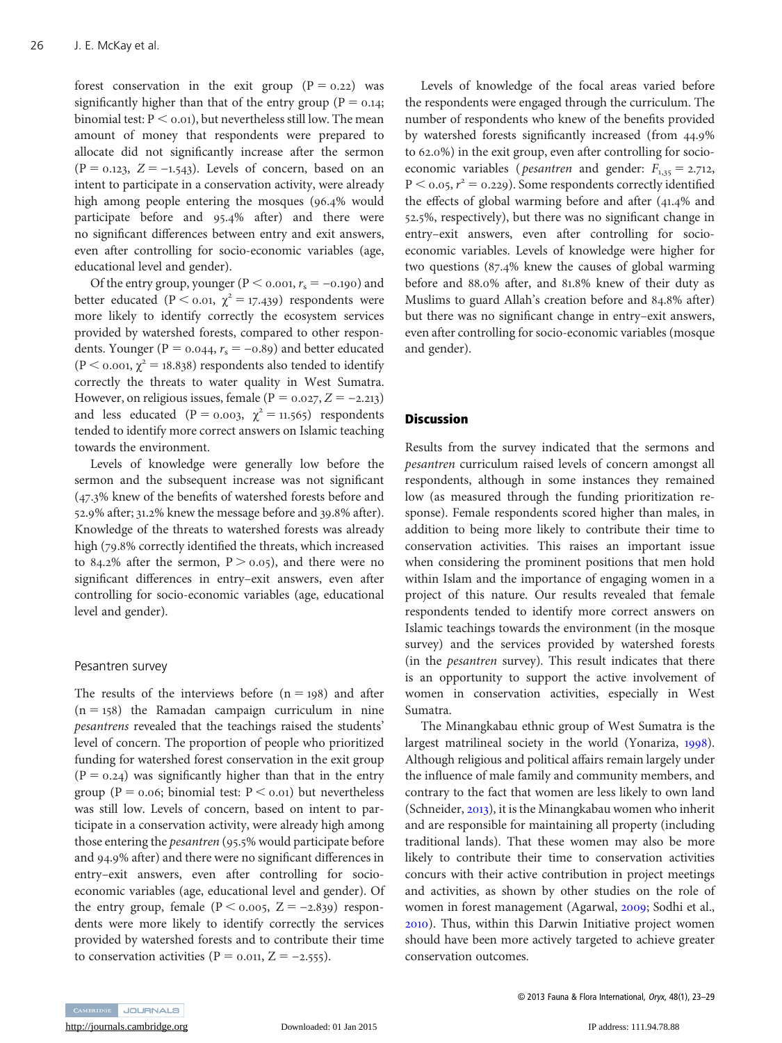forest conservation in the exit group  $(P = 0.22)$  was significantly higher than that of the entry group ( $P = 0.14$ ; binomial test:  $P < 0.01$ ), but nevertheless still low. The mean amount of money that respondents were prepared to allocate did not significantly increase after the sermon  $(P = 0.123, Z = -1.543)$ . Levels of concern, based on an intent to participate in a conservation activity, were already high among people entering the mosques (96.4% would participate before and 95.4% after) and there were no significant differences between entry and exit answers, even after controlling for socio-economic variables (age, educational level and gender).

Of the entry group, younger ( $P < 0.001$ ,  $r_s = -0.190$ ) and better educated ( $P < 0.01$ ,  $\chi^2 = 17.439$ ) respondents were more likely to identify correctly the ecosystem services provided by watershed forests, compared to other respondents. Younger ( $P = 0.044$ ,  $r_s = -0.89$ ) and better educated  $(P < 0.001, \chi^2 = 18.838)$  respondents also tended to identify correctly the threats to water quality in West Sumatra. However, on religious issues, female ( $P = 0.027, Z = -2.213$ ) and less educated (P =  $0.003$ ,  $\chi^2$  = 11.565) respondents tended to identify more correct answers on Islamic teaching towards the environment.

Levels of knowledge were generally low before the sermon and the subsequent increase was not significant (47.3% knew of the benefits of watershed forests before and 52.9% after; 31.2% knew the message before and 39.8% after). Knowledge of the threats to watershed forests was already high (79.8% correctly identified the threats, which increased to 84.2% after the sermon,  $P > 0.05$ ), and there were no significant differences in entry–exit answers, even after controlling for socio-economic variables (age, educational level and gender).

#### Pesantren survey

The results of the interviews before  $(n = 198)$  and after  $(n = 158)$  the Ramadan campaign curriculum in nine pesantrens revealed that the teachings raised the students' level of concern. The proportion of people who prioritized funding for watershed forest conservation in the exit group  $(P = 0.24)$  was significantly higher than that in the entry group ( $P = 0.06$ ; binomial test:  $P \le 0.01$ ) but nevertheless was still low. Levels of concern, based on intent to participate in a conservation activity, were already high among those entering the pesantren (95.5% would participate before and 94.9% after) and there were no significant differences in entry–exit answers, even after controlling for socioeconomic variables (age, educational level and gender). Of the entry group, female ( $P \le 0.005$ ,  $Z = -2.839$ ) respondents were more likely to identify correctly the services provided by watershed forests and to contribute their time to conservation activities ( $P = 0.011$ ,  $Z = -2.555$ ).

Levels of knowledge of the focal areas varied before the respondents were engaged through the curriculum. The number of respondents who knew of the benefits provided by watershed forests significantly increased (from 44.9% to 62.0%) in the exit group, even after controlling for socioeconomic variables (*pesantren* and gender:  $F_{1,35} = 2.712$ ,  $P < 0.05$ ,  $r^2 = 0.229$ ). Some respondents correctly identified the effects of global warming before and after (41.4% and 52.5%, respectively), but there was no significant change in entry–exit answers, even after controlling for socioeconomic variables. Levels of knowledge were higher for two questions (87.4% knew the causes of global warming before and 88.0% after, and 81.8% knew of their duty as Muslims to guard Allah's creation before and 84.8% after) but there was no significant change in entry–exit answers, even after controlling for socio-economic variables (mosque and gender).

#### **Discussion**

Results from the survey indicated that the sermons and pesantren curriculum raised levels of concern amongst all respondents, although in some instances they remained low (as measured through the funding prioritization response). Female respondents scored higher than males, in addition to being more likely to contribute their time to conservation activities. This raises an important issue when considering the prominent positions that men hold within Islam and the importance of engaging women in a project of this nature. Our results revealed that female respondents tended to identify more correct answers on Islamic teachings towards the environment (in the mosque survey) and the services provided by watershed forests (in the pesantren survey). This result indicates that there is an opportunity to support the active involvement of women in conservation activities, especially in West Sumatra.

The Minangkabau ethnic group of West Sumatra is the largest matrilineal society in the world (Yonariza, [1998](#page-5-0)). Although religious and political affairs remain largely under the influence of male family and community members, and contrary to the fact that women are less likely to own land (Schneider, [2013](#page-5-0)), it is the Minangkabau women who inherit and are responsible for maintaining all property (including traditional lands). That these women may also be more likely to contribute their time to conservation activities concurs with their active contribution in project meetings and activities, as shown by other studies on the role of women in forest management (Agarwal, [2009](#page-5-0); Sodhi et al., [2010](#page-5-0)). Thus, within this Darwin Initiative project women should have been more actively targeted to achieve greater conservation outcomes.

CAMBRIDGE JOURNALS

<http://journals.cambridge.org> Downloaded: 01 Jan 2015 IP address: 111.94.78.88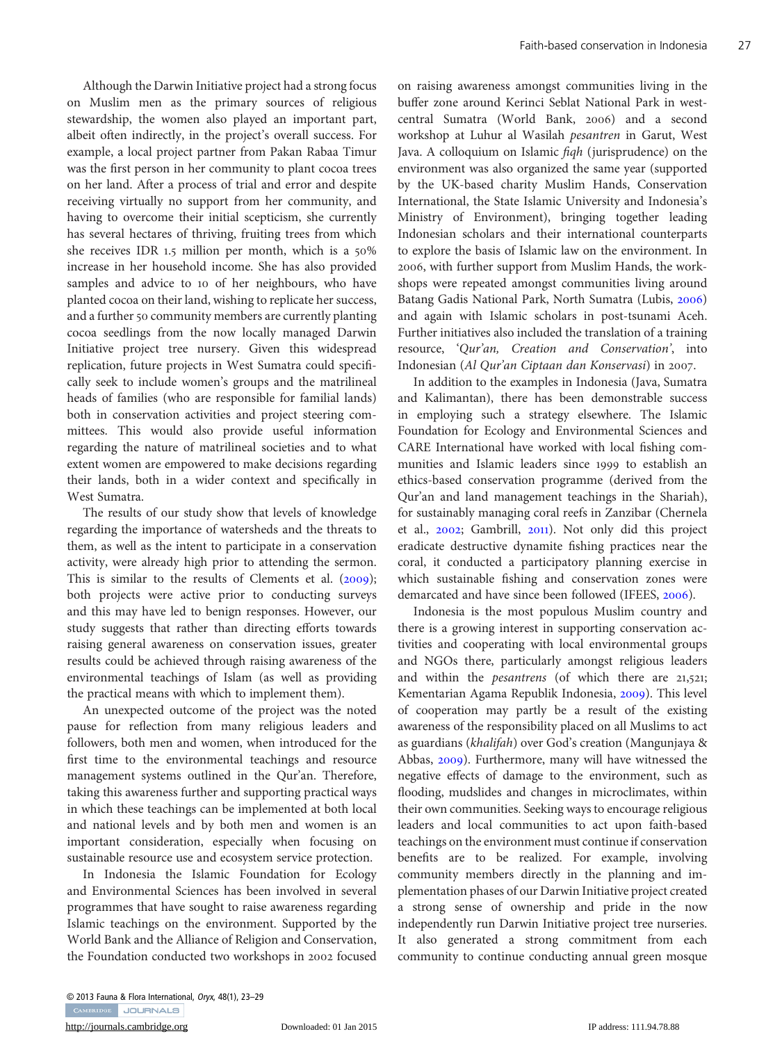Although the Darwin Initiative project had a strong focus on Muslim men as the primary sources of religious stewardship, the women also played an important part, albeit often indirectly, in the project's overall success. For example, a local project partner from Pakan Rabaa Timur was the first person in her community to plant cocoa trees on her land. After a process of trial and error and despite receiving virtually no support from her community, and having to overcome their initial scepticism, she currently has several hectares of thriving, fruiting trees from which she receives IDR 1.5 million per month, which is a 50% increase in her household income. She has also provided samples and advice to 10 of her neighbours, who have planted cocoa on their land, wishing to replicate her success, and a further 50 community members are currently planting cocoa seedlings from the now locally managed Darwin Initiative project tree nursery. Given this widespread replication, future projects in West Sumatra could specifically seek to include women's groups and the matrilineal heads of families (who are responsible for familial lands) both in conservation activities and project steering committees. This would also provide useful information regarding the nature of matrilineal societies and to what extent women are empowered to make decisions regarding their lands, both in a wider context and specifically in West Sumatra.

The results of our study show that levels of knowledge regarding the importance of watersheds and the threats to them, as well as the intent to participate in a conservation activity, were already high prior to attending the sermon. This is similar to the results of Clements et al. ([2009](#page-5-0)); both projects were active prior to conducting surveys and this may have led to benign responses. However, our study suggests that rather than directing efforts towards raising general awareness on conservation issues, greater results could be achieved through raising awareness of the environmental teachings of Islam (as well as providing the practical means with which to implement them).

An unexpected outcome of the project was the noted pause for reflection from many religious leaders and followers, both men and women, when introduced for the first time to the environmental teachings and resource management systems outlined in the Qur'an. Therefore, taking this awareness further and supporting practical ways in which these teachings can be implemented at both local and national levels and by both men and women is an important consideration, especially when focusing on sustainable resource use and ecosystem service protection.

In Indonesia the Islamic Foundation for Ecology and Environmental Sciences has been involved in several programmes that have sought to raise awareness regarding Islamic teachings on the environment. Supported by the World Bank and the Alliance of Religion and Conservation, the Foundation conducted two workshops in 2002 focused

on raising awareness amongst communities living in the buffer zone around Kerinci Seblat National Park in westcentral Sumatra (World Bank, 2006) and a second workshop at Luhur al Wasilah pesantren in Garut, West Java. A colloquium on Islamic fiqh (jurisprudence) on the environment was also organized the same year (supported by the UK-based charity Muslim Hands, Conservation International, the State Islamic University and Indonesia's Ministry of Environment), bringing together leading Indonesian scholars and their international counterparts to explore the basis of Islamic law on the environment. In 2006, with further support from Muslim Hands, the workshops were repeated amongst communities living around Batang Gadis National Park, North Sumatra (Lubis, [2006](#page-5-0)) and again with Islamic scholars in post-tsunami Aceh. Further initiatives also included the translation of a training resource, 'Qur'an, Creation and Conservation', into Indonesian (Al Qur'an Ciptaan dan Konservasi) in 2007.

In addition to the examples in Indonesia (Java, Sumatra and Kalimantan), there has been demonstrable success in employing such a strategy elsewhere. The Islamic Foundation for Ecology and Environmental Sciences and CARE International have worked with local fishing communities and Islamic leaders since 1999 to establish an ethics-based conservation programme (derived from the Qur'an and land management teachings in the Shariah), for sustainably managing coral reefs in Zanzibar (Chernela et al., [2002](#page-5-0); Gambrill, [2011](#page-5-0)). Not only did this project eradicate destructive dynamite fishing practices near the coral, it conducted a participatory planning exercise in which sustainable fishing and conservation zones were demarcated and have since been followed (IFEES, [2006](#page-5-0)).

Indonesia is the most populous Muslim country and there is a growing interest in supporting conservation activities and cooperating with local environmental groups and NGOs there, particularly amongst religious leaders and within the *pesantrens* (of which there are 21,521; Kementarian Agama Republik Indonesia, [2009](#page-5-0)). This level of cooperation may partly be a result of the existing awareness of the responsibility placed on all Muslims to act as guardians (khalifah) over God's creation (Mangunjaya & Abbas, [2009](#page-5-0)). Furthermore, many will have witnessed the negative effects of damage to the environment, such as flooding, mudslides and changes in microclimates, within their own communities. Seeking ways to encourage religious leaders and local communities to act upon faith-based teachings on the environment must continue if conservation benefits are to be realized. For example, involving community members directly in the planning and implementation phases of our Darwin Initiative project created a strong sense of ownership and pride in the now independently run Darwin Initiative project tree nurseries. It also generated a strong commitment from each community to continue conducting annual green mosque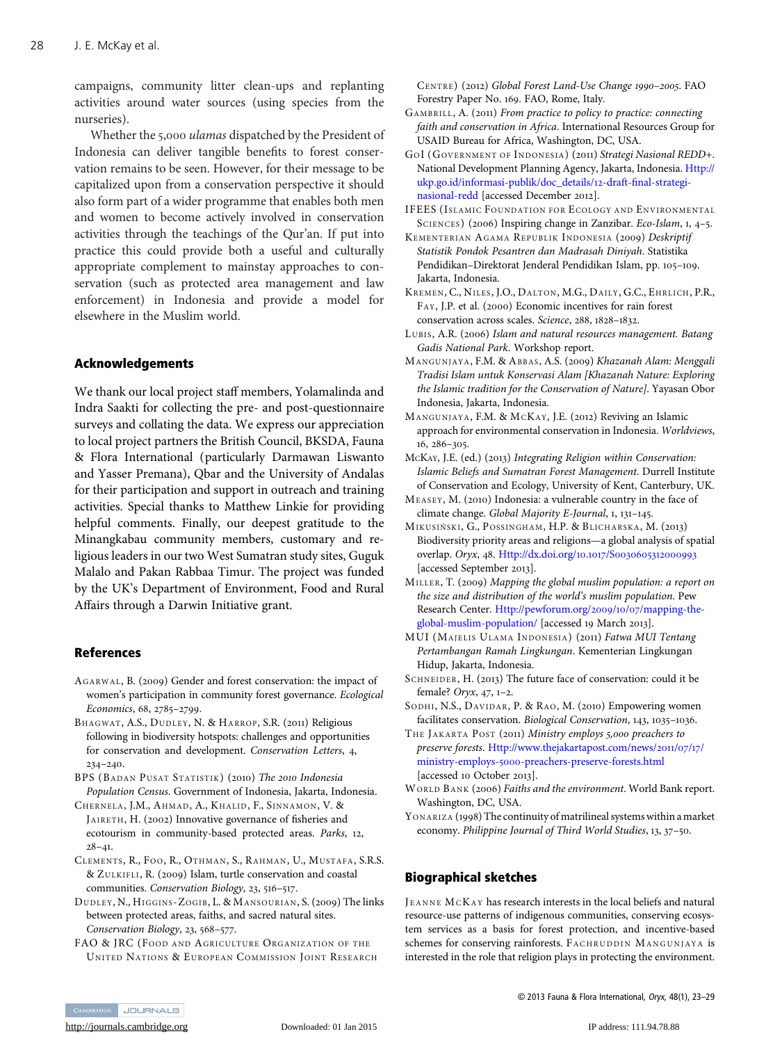<span id="page-5-0"></span>campaigns, community litter clean-ups and replanting activities around water sources (using species from the nurseries).

Whether the 5,000 ulamas dispatched by the President of Indonesia can deliver tangible benefits to forest conservation remains to be seen. However, for their message to be capitalized upon from a conservation perspective it should also form part of a wider programme that enables both men and women to become actively involved in conservation activities through the teachings of the Qur'an. If put into practice this could provide both a useful and culturally appropriate complement to mainstay approaches to conservation (such as protected area management and law enforcement) in Indonesia and provide a model for elsewhere in the Muslim world.

#### Acknowledgements

We thank our local project staff members, Yolamalinda and Indra Saakti for collecting the pre- and post-questionnaire surveys and collating the data. We express our appreciation to local project partners the British Council, BKSDA, Fauna & Flora International (particularly Darmawan Liswanto and Yasser Premana), Qbar and the University of Andalas for their participation and support in outreach and training activities. Special thanks to Matthew Linkie for providing helpful comments. Finally, our deepest gratitude to the Minangkabau community members, customary and religious leaders in our two West Sumatran study sites, Guguk Malalo and Pakan Rabbaa Timur. The project was funded by the UK's Department of Environment, Food and Rural Affairs through a Darwin Initiative grant.

#### References

- AGARWAL, B. (2009) Gender and forest conservation: the impact of women's participation in community forest governance. Ecological Economics, 68, 2785–2799.
- BHAGWAT, A.S., DUDLEY, N. & HARROP, S.R. (2011) Religious following in biodiversity hotspots: challenges and opportunities for conservation and development. Conservation Letters, 4, 234–240.
- BPS (BADAN PUSAT STATISTIK) (2010) The 2010 Indonesia Population Census. Government of Indonesia, Jakarta, Indonesia.
- CHERNELA, J.M., AHMAD, A., KHALID, F., SINNAMON, V. & JAIRETH, H. (2002) Innovative governance of fisheries and ecotourism in community-based protected areas. Parks, 12, 28–41.
- CLEMENTS, R., FOO, R., OTHMAN, S., RAHMAN, U., MUSTAFA, S.R.S. & ZULKIFLI, R. (2009) Islam, turtle conservation and coastal communities. Conservation Biology, 23, 516–517.
- DUDLEY, N., HIGGINS-ZOGIB, L. & MANSOURIAN, S. (2009) The links between protected areas, faiths, and sacred natural sites. Conservation Biology, 23, 568–577.
- FAO & JRC (FOOD AND AGRICULTURE ORGANIZATION OF THE UNITED NATIONS & EUROPEAN COMMISSION JOINT RESEARCH

CENTRE) (2012) Global Forest Land-Use Change 1990–2005. FAO Forestry Paper No. 169. FAO, Rome, Italy.

GAMBRILL, A. (2011) From practice to policy to practice: connecting faith and conservation in Africa. International Resources Group for USAID Bureau for Africa, Washington, DC, USA.

GOI (GOVERNMENT OF INDONESIA) (2011) Strategi Nasional REDD+. National Development Planning Agency, Jakarta, Indonesia. [Http://](http://ukp.go.id/informasi-publik/doc_details/12-draft-final-strategi-nasional-redd) [ukp.go.id/informasi-publik/doc\\_details/](http://ukp.go.id/informasi-publik/doc_details/12-draft-final-strategi-nasional-redd)12-draft-final-strategi[nasional-redd](http://ukp.go.id/informasi-publik/doc_details/12-draft-final-strategi-nasional-redd) [accessed December 2012].

- IFEES (ISLAMIC FOUNDATION FOR ECOLOGY AND ENVIRONMENTAL SCIENCES) (2006) Inspiring change in Zanzibar. Eco-Islam, 1, 4-5.
- KEMENTERIAN AGAMA REPUBLIK INDONESIA (2009) Deskriptif Statistik Pondok Pesantren dan Madrasah Diniyah. Statistika Pendidikan–Direktorat Jenderal Pendidikan Islam, pp. 105–109. Jakarta, Indonesia.
- KREMEN, C., NILES , J.O., DALTON, M.G., DAILY, G.C., EHRLICH, P.R., FAY, J.P. et al. (2000) Economic incentives for rain forest conservation across scales. Science, 288, 1828–1832.
- LUBIS, A.R. (2006) Islam and natural resources management. Batang Gadis National Park. Workshop report.
- MANGUNJAYA, F.M. & ABBAS , A.S. (2009) Khazanah Alam: Menggali Tradisi Islam untuk Konservasi Alam [Khazanah Nature: Exploring the Islamic tradition for the Conservation of Nature]. Yayasan Obor Indonesia, Jakarta, Indonesia.
- MANGUNJAYA, F.M. & MCKAY, J.E. (2012) Reviving an Islamic approach for environmental conservation in Indonesia. Worldviews, 16, 286–305.
- MCKAY, J.E. (ed.) (2013) Integrating Religion within Conservation: Islamic Beliefs and Sumatran Forest Management. Durrell Institute of Conservation and Ecology, University of Kent, Canterbury, UK.
- MEASEY, M. (2010) Indonesia: a vulnerable country in the face of climate change. Global Majority E-Journal, 1, 131–145.
- MIKUSIŃSKI, G., POSSINGHAM, H.P. & BLICHARSKA, M. (2013) Biodiversity priority areas and religions—a global analysis of spatial overlap. Oryx, 48. [Http:/](http://dx.doi.org/10.1017/S0030605312000993)/dx.doi.org/10.1017/S[0030605312000993](http://dx.doi.org/10.1017/S0030605312000993) [accessed September 2013].
- MILLER, T. (2009) Mapping the global muslim population: a report on the size and distribution of the world's muslim population. Pew Research Center. [Http://pewforum.org/](http://pewforum.org/2009/10/07/mapping-the-global-muslim-population/)2009/10/07/mapping-the[global-muslim-population/](http://pewforum.org/2009/10/07/mapping-the-global-muslim-population/) [accessed 19 March 2013].
- MUI (MAJELIS ULAMA INDONESIA) (2011) Fatwa MUI Tentang Pertambangan Ramah Lingkungan. Kementerian Lingkungan Hidup, Jakarta, Indonesia.
- SCHNEIDER, H. (2013) The future face of conservation: could it be female? Oryx, 47, 1–2.
- SODHI, N.S., DAVIDAR, P. & RAO, M. (2010) Empowering women facilitates conservation. Biological Conservation, 143, 1035–1036.
- THE JAKARTA POST (2011) Ministry employs 5,000 preachers to preserve forests. [Http://www.thejakartapost.com/news/](http://www.thejakartapost.com/news/2011/07/17/ministry-employs-5000-preachers-preserve-forests.html)2011/07/17/ ministry-employs-5000[-preachers-preserve-forests.html](http://www.thejakartapost.com/news/2011/07/17/ministry-employs-5000-preachers-preserve-forests.html) [accessed 10 October 2013].
- WORLD BANK (2006) Faiths and the environment. World Bank report. Washington, DC, USA.
- YONARIZA (1998) The continuity of matrilineal systems within a market economy. Philippine Journal of Third World Studies, 13, 37–50.

## Biographical sketches

JEANNE MCKAY has research interests in the local beliefs and natural resource-use patterns of indigenous communities, conserving ecosystem services as a basis for forest protection, and incentive-based schemes for conserving rainforests. FACHRUDDIN MANGUNJAYA is interested in the role that religion plays in protecting the environment.

<http://journals.cambridge.org> Downloaded: 01 Jan 2015 IP address: 111.94.78.88